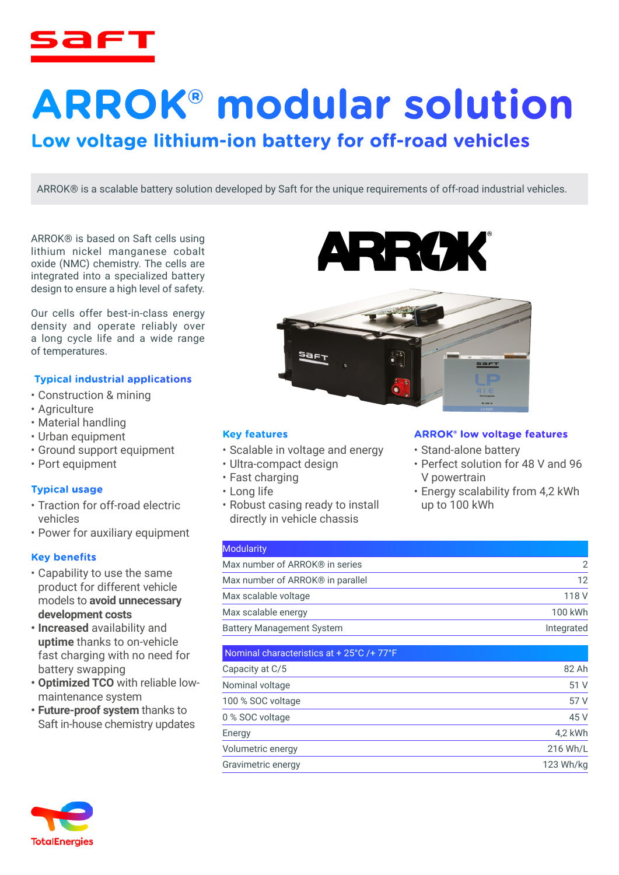

# **ARROK® modular solution**

# **Low voltage lithium-ion battery for off-road vehicles**

ARROK® is a scalable battery solution developed by Saft for the unique requirements of off-road industrial vehicles.

ARROK® is based on Saft cells using lithium nickel manganese cobalt oxide (NMC) chemistry. The cells are integrated into a specialized battery design to ensure a high level of safety.

Our cells offer best-in-class energy density and operate reliably over a long cycle life and a wide range of temperatures.

# **Typical industrial applications**

- Construction & mining
- Agriculture
- Material handling
- Urban equipment
- Ground support equipment
- Port equipment

#### **Typical usage**

- Traction for off-road electric vehicles
- Power for auxiliary equipment

#### **Key benefits**

- Capability to use the same product for different vehicle models to **avoid unnecessary development costs**
- **• Increased** availability and **uptime** thanks to on-vehicle fast charging with no need for battery swapping
- **• Optimized TCO** with reliable lowmaintenance system
- **• Future-proof system** thanks to Saft in-house chemistry updates





#### **Key features**

- Scalable in voltage and energy
- Ultra-compact design
- Fast charging
- Long life
- Robust casing ready to install directly in vehicle chassis

#### **ARROK® low voltage features**

- Stand-alone battery
- Perfect solution for 48 V and 96 V powertrain
- Energy scalability from 4,2 kWh up to 100 kWh

| <b>Modularity</b>                            |            |
|----------------------------------------------|------------|
| Max number of ARROK® in series               |            |
| Max number of ARROK <sup>®</sup> in parallel |            |
| Max scalable voltage                         | 118 V      |
| Max scalable energy                          | 100 kWh    |
| <b>Battery Management System</b>             | Integrated |

| Nominal characteristics at + 25°C /+ 77°F |           |
|-------------------------------------------|-----------|
| Capacity at C/5                           | 82 Ah     |
| Nominal voltage                           | 51 V      |
| 100 % SOC voltage                         | 57 V      |
| 0 % SOC voltage                           | 45 V      |
| Energy                                    | 4,2 kWh   |
| Volumetric energy                         | 216 Wh/L  |
| Gravimetric energy                        | 123 Wh/kg |